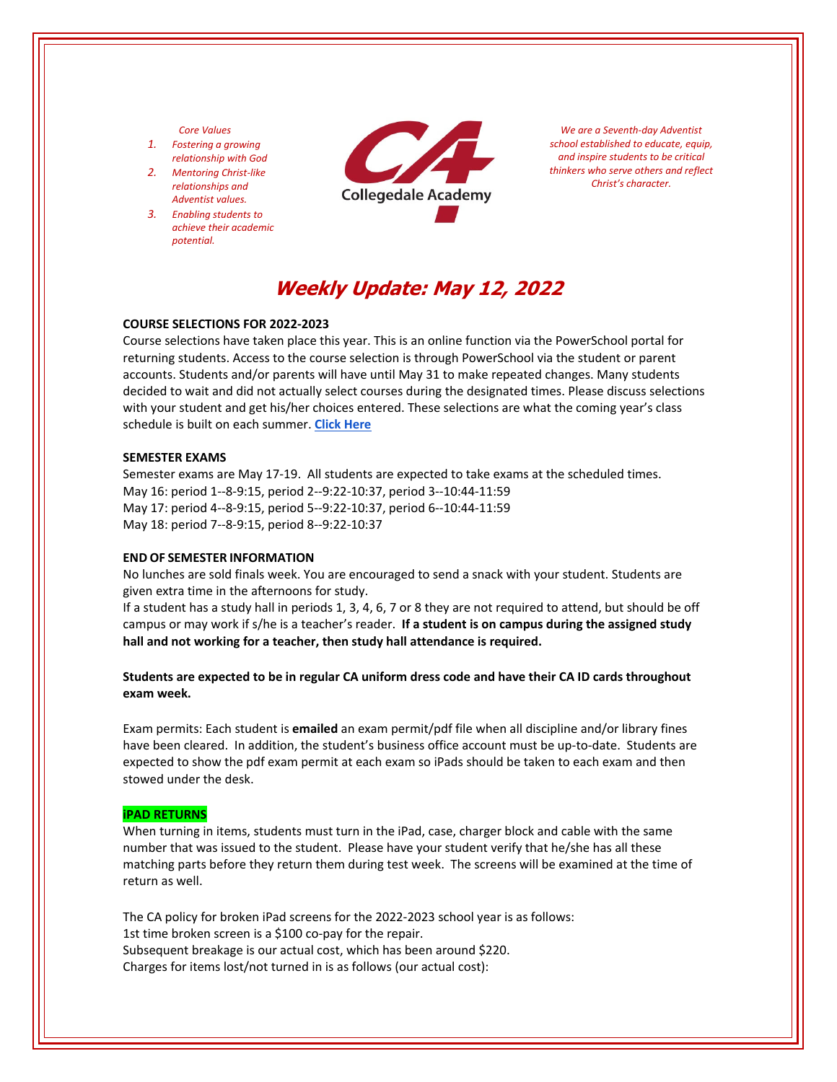#### *Core Values*

- *1. Fostering a growing relationship with God*
- *2. Mentoring Christ‐like relationships and Adventist values.*
- *3. Enabling students to achieve their academic potential.*



*We are a Seventh‐day Adventist school established to educate, equip, and inspire students to be critical thinkers who serve others and reflect Christ's character.*

# **Weekly Update: May 12, 2022**

## **COURSE SELECTIONS FOR 2022‐2023**

Course selections have taken place this year. This is an online function via the PowerSchool portal for returning students. Access to the course selection is through PowerSchool via the student or parent accounts. Students and/or parents will have until May 31 to make repeated changes. Many students decided to wait and did not actually select courses during the designated times. Please discuss selections with your student and get his/her choices entered. These selections are what the coming year's class schedule is built on each summer. **Click [Here](https://www.collegedaleacademy.com/welcome-to-ca/academics/course-sequence/)**

#### **SEMESTER EXAMS**

Semester exams are May 17‐19. All students are expected to take exams at the scheduled times. May 16: period 1‐‐8‐9:15, period 2‐‐9:22‐10:37, period 3‐‐10:44‐11:59 May 17: period 4‐‐8‐9:15, period 5‐‐9:22‐10:37, period 6‐‐10:44‐11:59 May 18: period 7‐‐8‐9:15, period 8‐‐9:22‐10:37

#### **END OF SEMESTER INFORMATION**

No lunches are sold finals week. You are encouraged to send a snack with your student. Students are given extra time in the afternoons for study.

If a student has a study hall in periods 1, 3, 4, 6, 7 or 8 they are not required to attend, but should be off campus or may work if s/he is a teacher's reader. **If a student is on campus during the assigned study hall and not working for a teacher, then study hall attendance is required.** 

**Students are expected to be in regular CA uniform dress code and have their CA ID cards throughout exam week.** 

Exam permits: Each student is **emailed** an exam permit/pdf file when all discipline and/or library fines have been cleared. In addition, the student's business office account must be up-to-date. Students are expected to show the pdf exam permit at each exam so iPads should be taken to each exam and then stowed under the desk.

#### **iPAD RETURNS**

When turning in items, students must turn in the iPad, case, charger block and cable with the same number that was issued to the student. Please have your student verify that he/she has all these matching parts before they return them during test week. The screens will be examined at the time of return as well.

The CA policy for broken iPad screens for the 2022‐2023 school year is as follows: 1st time broken screen is a \$100 co‐pay for the repair. Subsequent breakage is our actual cost, which has been around \$220. Charges for items lost/not turned in is as follows (our actual cost):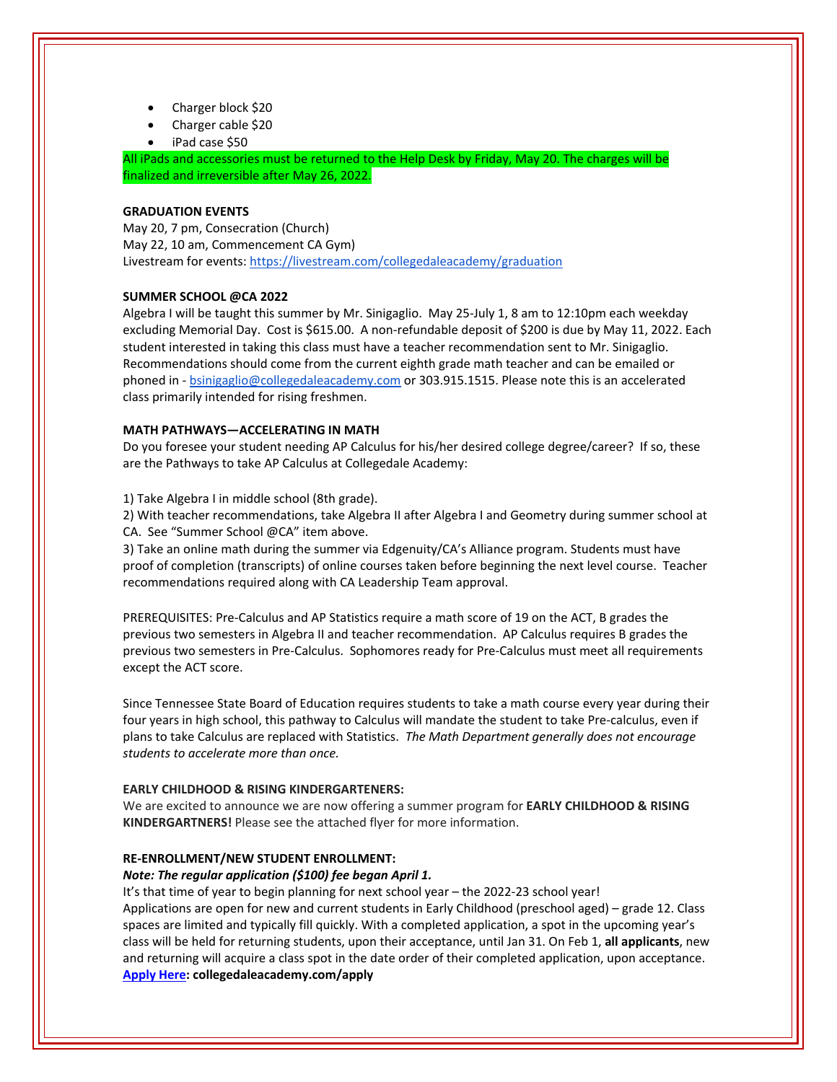- Charger block \$20
- Charger cable \$20
- iPad case \$50

All iPads and accessories must be returned to the Help Desk by Friday, May 20. The charges will be finalized and irreversible after May 26, 2022.

#### **GRADUATION EVENTS**

May 20, 7 pm, Consecration (Church) May 22, 10 am, Commencement CA Gym) Livestream for events: <https://livestream.com/collegedaleacademy/graduation>

## **SUMMER SCHOOL @CA 2022**

Algebra I will be taught this summer by Mr. Sinigaglio. May 25‐July 1, 8 am to 12:10pm each weekday excluding Memorial Day. Cost is \$615.00. A non‐refundable deposit of \$200 is due by May 11, 2022. Each student interested in taking this class must have a teacher recommendation sent to Mr. Sinigaglio. Recommendations should come from the current eighth grade math teacher and can be emailed or phoned in ‐ bsinigaglio@collegedaleacademy.com or 303.915.1515. Please note this is an accelerated class primarily intended for rising freshmen.

### **MATH PATHWAYS—ACCELERATING IN MATH**

Do you foresee your student needing AP Calculus for his/her desired college degree/career? If so, these are the Pathways to take AP Calculus at Collegedale Academy:

1) Take Algebra I in middle school (8th grade).

2) With teacher recommendations, take Algebra II after Algebra I and Geometry during summer school at CA. See "Summer School @CA" item above.

3) Take an online math during the summer via Edgenuity/CA's Alliance program. Students must have proof of completion (transcripts) of online courses taken before beginning the next level course. Teacher recommendations required along with CA Leadership Team approval.

PREREQUISITES: Pre‐Calculus and AP Statistics require a math score of 19 on the ACT, B grades the previous two semesters in Algebra II and teacher recommendation. AP Calculus requires B grades the previous two semesters in Pre‐Calculus. Sophomores ready for Pre‐Calculus must meet all requirements except the ACT score.

Since Tennessee State Board of Education requires students to take a math course every year during their four years in high school, this pathway to Calculus will mandate the student to take Pre‐calculus, even if plans to take Calculus are replaced with Statistics. *The Math Department generally does not encourage students to accelerate more than once.* 

#### **EARLY CHILDHOOD & RISING KINDERGARTENERS:**

We are excited to announce we are now offering a summer program for **EARLY CHILDHOOD & RISING KINDERGARTNERS!** Please see the attached flyer for more information.

#### **RE‐ENROLLMENT/NEW STUDENT ENROLLMENT:**

#### *Note: The regular application (\$100) fee began April 1.*

It's that time of year to begin planning for next school year – the 2022‐23 school year! Applications are open for new and current students in Early Childhood (preschool aged) – grade 12. Class spaces are limited and typically fill quickly. With a completed application, a spot in the upcoming year's class will be held for returning students, upon their acceptance, until Jan 31. On Feb 1, **all applicants**, new and returning will acquire a class spot in the date order of their completed application, upon acceptance. **[Apply](https://www.collegedaleacademy.com/apply/) Here: collegedaleacademy.com/apply**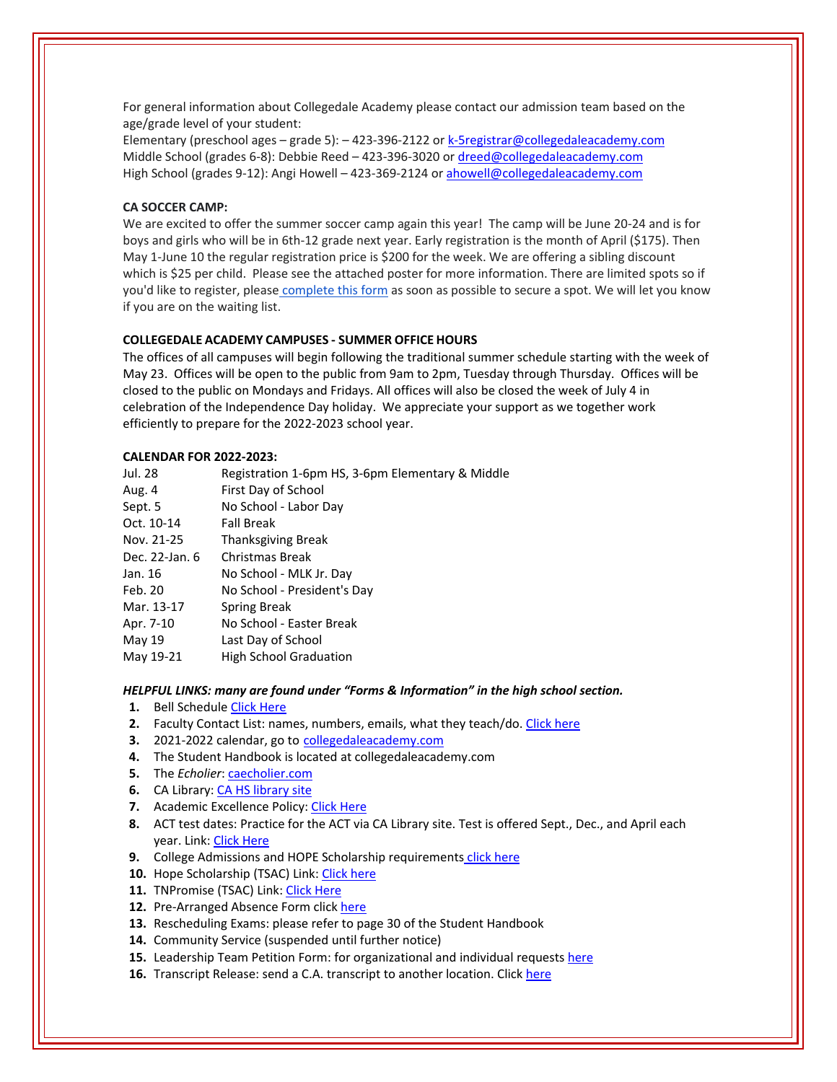For general information about Collegedale Academy please contact our admission team based on the age/grade level of your student:

Elementary (preschool ages – grade 5): – 423‐396‐2122 or k‐5registrar@collegedaleacademy.com Middle School (grades 6‐8): Debbie Reed – 423‐396‐3020 or dreed@collegedaleacademy.com High School (grades 9‐12): Angi Howell – 423‐369‐2124 or ahowell@collegedaleacademy.com

## **CA SOCCER CAMP:**

We are excited to offer the summer soccer camp again this year! The camp will be June 20‐24 and is for boys and girls who will be in 6th‐12 grade next year. Early registration is the month of April (\$175). Then May 1-June 10 the regular registration price is \$200 for the week. We are offering a sibling discount which is \$25 per child. Please see the attached poster for more information. There are limited spots so if you'd like to register, please [complete](https://docs.google.com/forms/d/e/1FAIpQLSd7F9MiyyKrREO9wjKqHyqIU2PvgvAk4mvqSDD298h4UqnFjA/viewform?usp=send_form) this form as soon as possible to secure a spot. We will let you know if you are on the waiting list.

## **COLLEGEDALE ACADEMY CAMPUSES ‐ SUMMER OFFICE HOURS**

The offices of all campuses will begin following the traditional summer schedule starting with the week of May 23. Offices will be open to the public from 9am to 2pm, Tuesday through Thursday. Offices will be closed to the public on Mondays and Fridays. All offices will also be closed the week of July 4 in celebration of the Independence Day holiday. We appreciate your support as we together work efficiently to prepare for the 2022‐2023 school year.

#### **CALENDAR FOR 2022‐2023:**

| Jul. 28        | Registration 1-6pm HS, 3-6pm Elementary & Middle |
|----------------|--------------------------------------------------|
| Aug. 4         | First Day of School                              |
| Sept. 5        | No School - Labor Day                            |
| Oct. 10-14     | <b>Fall Break</b>                                |
| Nov. 21-25     | Thanksgiving Break                               |
| Dec. 22-Jan. 6 | Christmas Break                                  |
| Jan. 16        | No School - MLK Jr. Day                          |
| Feb. 20        | No School - President's Day                      |
| Mar. 13-17     | Spring Break                                     |
| Apr. 7-10      | No School - Easter Break                         |
| May 19         | Last Day of School                               |
| May 19-21      | <b>High School Graduation</b>                    |
|                |                                                  |

*HELPFUL LINKS: many are found under "Forms & Information" in the high school section.*

- **1.** Bell Schedule Click [Here](https://www.collegedaleacademy.com/wp-content/uploads/2018/08/Bell-Schedule.pdf)
- **2.** Faculty Contact List: names, numbers, emails, what they teach/do. Click [here](https://www.collegedaleacademy.com/wp-content/uploads/2021/08/faculty-only-2021-2022.pdf)
- **3.** 2021‐2022 calendar, go to [collegedaleacademy.com](https://www.collegedaleacademy.com/calendars/)
- **4.** The Student Handbook is located at collegedaleacademy.com
- **5.** The *Echolier*: [caecholier.com](https://caecholier.com/)
- **6.** CA Library: CA HS [library](https://southernuniongcc.mlasolutions.com/m5/catalog/(S(0w41qsacbvtoxujnww2ebtpk))/default.aspx?installation=CDA) site
- **7.** Academic Excellence Policy: Click [Here](https://www.collegedaleacademy.com/wp-content/uploads/2018/08/Academic-Excellence-Policy.pdf)
- **8.** ACT test dates: Practice for the ACT via CA Library site. Test is offered Sept., Dec., and April each year. Link: Click [Here](https://www.act.org/)
- **9.** College Admissions and HOPE Scholarship requirements click [here](https://www.collegedaleacademy.com/wp-content/uploads/2019/08/TSAC-Scholarship-Info.pdf)
- **10.** Hope Scholarship (TSAC) Link: Click [here](https://www.tn.gov/collegepays/money-for-college/tn-education-lottery-programs/tennessee-hope-scholarship.html)
- 11. TNPromise (TSAC) Link: Click [Here](https://www.tn.gov/tnpromise.html)
- 12. Pre-Arranged Absence Form click [here](https://www.collegedaleacademy.com/wp-content/uploads/2016/11/Class-Absence-Request-Form-May-2017.pdf)
- **13.** Rescheduling Exams: please refer to page 30 of the Student Handbook
- **14.** Community Service (suspended until further notice)
- **15.** Leadership Team Petition Form: for organizational and individual requests [here](https://www.collegedaleacademy.com/wp-content/uploads/2019/08/Leadership-Petition-SSch.pdf)
- **16.** Transcript Release: send a C.A. transcript to another location. Click [here](https://collegedaleacademy.wufoo.com/forms/q1bmc4gg10gftjs/)